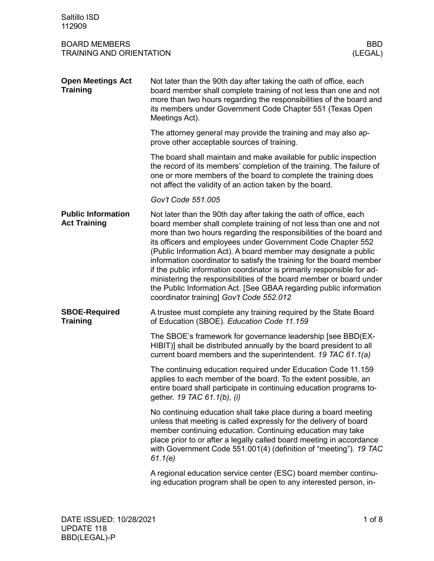| Saltillo ISD<br>112909                                                     |                                                                                                                                                                                                                                                                                                                                                                                                                                                                                                                                                                                                                                                                                             |  |
|----------------------------------------------------------------------------|---------------------------------------------------------------------------------------------------------------------------------------------------------------------------------------------------------------------------------------------------------------------------------------------------------------------------------------------------------------------------------------------------------------------------------------------------------------------------------------------------------------------------------------------------------------------------------------------------------------------------------------------------------------------------------------------|--|
| <b>BOARD MEMBERS</b><br>BBD.<br><b>TRAINING AND ORIENTATION</b><br>(LEGAL) |                                                                                                                                                                                                                                                                                                                                                                                                                                                                                                                                                                                                                                                                                             |  |
| <b>Open Meetings Act</b><br><b>Training</b>                                | Not later than the 90th day after taking the oath of office, each<br>board member shall complete training of not less than one and not<br>more than two hours regarding the responsibilities of the board and<br>its members under Government Code Chapter 551 (Texas Open<br>Meetings Act).                                                                                                                                                                                                                                                                                                                                                                                                |  |
|                                                                            | The attorney general may provide the training and may also ap-<br>prove other acceptable sources of training.                                                                                                                                                                                                                                                                                                                                                                                                                                                                                                                                                                               |  |
|                                                                            | The board shall maintain and make available for public inspection<br>the record of its members' completion of the training. The failure of<br>one or more members of the board to complete the training does<br>not affect the validity of an action taken by the board.                                                                                                                                                                                                                                                                                                                                                                                                                    |  |
|                                                                            | Gov't Code 551,005                                                                                                                                                                                                                                                                                                                                                                                                                                                                                                                                                                                                                                                                          |  |
| <b>Public Information</b><br><b>Act Training</b>                           | Not later than the 90th day after taking the oath of office, each<br>board member shall complete training of not less than one and not<br>more than two hours regarding the responsibilities of the board and<br>its officers and employees under Government Code Chapter 552<br>(Public Information Act). A board member may designate a public<br>information coordinator to satisfy the training for the board member<br>if the public information coordinator is primarily responsible for ad-<br>ministering the responsibilities of the board member or board under<br>the Public Information Act. [See GBAA regarding public information<br>coordinator training] Gov't Code 552.012 |  |
| <b>SBOE-Required</b><br><b>Training</b>                                    | A trustee must complete any training required by the State Board<br>of Education (SBOE). Education Code 11.159                                                                                                                                                                                                                                                                                                                                                                                                                                                                                                                                                                              |  |
|                                                                            | The SBOE's framework for governance leadership [see BBD(EX-<br>HIBIT)] shall be distributed annually by the board president to all<br>current board members and the superintendent. 19 TAC 61.1(a)                                                                                                                                                                                                                                                                                                                                                                                                                                                                                          |  |
|                                                                            | The continuing education required under Education Code 11.159<br>applies to each member of the board. To the extent possible, an<br>entire board shall participate in continuing education programs to-<br>gether. 19 TAC 61.1(b), (i)                                                                                                                                                                                                                                                                                                                                                                                                                                                      |  |
|                                                                            | No continuing education shall take place during a board meeting<br>unless that meeting is called expressly for the delivery of board<br>member continuing education. Continuing education may take<br>place prior to or after a legally called board meeting in accordance<br>with Government Code 551.001(4) (definition of "meeting"). 19 TAC<br>61.1(e)                                                                                                                                                                                                                                                                                                                                  |  |
|                                                                            | A regional education service center (ESC) board member continu-<br>ing education program shall be open to any interested person, in-                                                                                                                                                                                                                                                                                                                                                                                                                                                                                                                                                        |  |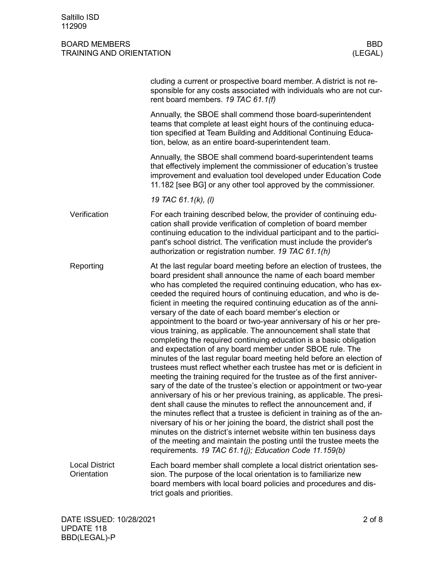|                                      | cluding a current or prospective board member. A district is not re-<br>sponsible for any costs associated with individuals who are not cur-<br>rent board members. 19 TAC 61.1(f)                                                                                                                                                                                                                                                                                                                                                                                                                                                                                                                                                                                                                                                                                                                                                                                                                                                                                                                                                                                                                                                                                                                                                                                                                                                                                                                             |
|--------------------------------------|----------------------------------------------------------------------------------------------------------------------------------------------------------------------------------------------------------------------------------------------------------------------------------------------------------------------------------------------------------------------------------------------------------------------------------------------------------------------------------------------------------------------------------------------------------------------------------------------------------------------------------------------------------------------------------------------------------------------------------------------------------------------------------------------------------------------------------------------------------------------------------------------------------------------------------------------------------------------------------------------------------------------------------------------------------------------------------------------------------------------------------------------------------------------------------------------------------------------------------------------------------------------------------------------------------------------------------------------------------------------------------------------------------------------------------------------------------------------------------------------------------------|
|                                      | Annually, the SBOE shall commend those board-superintendent<br>teams that complete at least eight hours of the continuing educa-<br>tion specified at Team Building and Additional Continuing Educa-<br>tion, below, as an entire board-superintendent team.                                                                                                                                                                                                                                                                                                                                                                                                                                                                                                                                                                                                                                                                                                                                                                                                                                                                                                                                                                                                                                                                                                                                                                                                                                                   |
|                                      | Annually, the SBOE shall commend board-superintendent teams<br>that effectively implement the commissioner of education's trustee<br>improvement and evaluation tool developed under Education Code<br>11.182 [see BG] or any other tool approved by the commissioner.                                                                                                                                                                                                                                                                                                                                                                                                                                                                                                                                                                                                                                                                                                                                                                                                                                                                                                                                                                                                                                                                                                                                                                                                                                         |
|                                      | 19 TAC 61.1(k), (l)                                                                                                                                                                                                                                                                                                                                                                                                                                                                                                                                                                                                                                                                                                                                                                                                                                                                                                                                                                                                                                                                                                                                                                                                                                                                                                                                                                                                                                                                                            |
| Verification                         | For each training described below, the provider of continuing edu-<br>cation shall provide verification of completion of board member<br>continuing education to the individual participant and to the partici-<br>pant's school district. The verification must include the provider's<br>authorization or registration number. 19 TAC 61.1(h)                                                                                                                                                                                                                                                                                                                                                                                                                                                                                                                                                                                                                                                                                                                                                                                                                                                                                                                                                                                                                                                                                                                                                                |
| Reporting                            | At the last regular board meeting before an election of trustees, the<br>board president shall announce the name of each board member<br>who has completed the required continuing education, who has ex-<br>ceeded the required hours of continuing education, and who is de-<br>ficient in meeting the required continuing education as of the anni-<br>versary of the date of each board member's election or<br>appointment to the board or two-year anniversary of his or her pre-<br>vious training, as applicable. The announcement shall state that<br>completing the required continuing education is a basic obligation<br>and expectation of any board member under SBOE rule. The<br>minutes of the last regular board meeting held before an election of<br>trustees must reflect whether each trustee has met or is deficient in<br>meeting the training required for the trustee as of the first anniver-<br>sary of the date of the trustee's election or appointment or two-year<br>anniversary of his or her previous training, as applicable. The presi-<br>dent shall cause the minutes to reflect the announcement and, if<br>the minutes reflect that a trustee is deficient in training as of the an-<br>niversary of his or her joining the board, the district shall post the<br>minutes on the district's internet website within ten business days<br>of the meeting and maintain the posting until the trustee meets the<br>requirements. 19 TAC 61.1(j); Education Code 11.159(b) |
| <b>Local District</b><br>Orientation | Each board member shall complete a local district orientation ses-<br>sion. The purpose of the local orientation is to familiarize new<br>board members with local board policies and procedures and dis-<br>trict goals and priorities.                                                                                                                                                                                                                                                                                                                                                                                                                                                                                                                                                                                                                                                                                                                                                                                                                                                                                                                                                                                                                                                                                                                                                                                                                                                                       |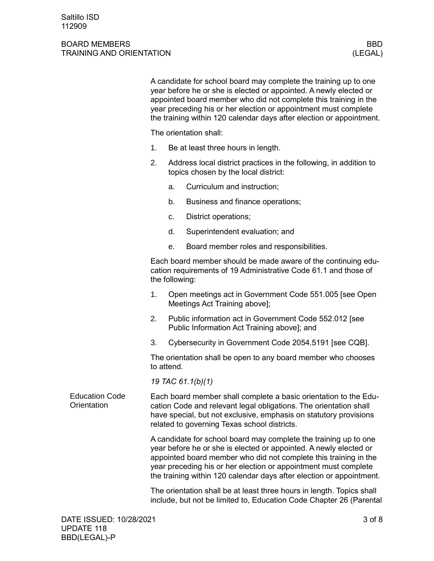|                                      | A candidate for school board may complete the training up to one<br>year before he or she is elected or appointed. A newly elected or<br>appointed board member who did not complete this training in the<br>year preceding his or her election or appointment must complete<br>the training within 120 calendar days after election or appointment. |                                                                                                           |  |  |
|--------------------------------------|------------------------------------------------------------------------------------------------------------------------------------------------------------------------------------------------------------------------------------------------------------------------------------------------------------------------------------------------------|-----------------------------------------------------------------------------------------------------------|--|--|
|                                      | The orientation shall:                                                                                                                                                                                                                                                                                                                               |                                                                                                           |  |  |
|                                      | 1.                                                                                                                                                                                                                                                                                                                                                   | Be at least three hours in length.                                                                        |  |  |
|                                      | 2.                                                                                                                                                                                                                                                                                                                                                   | Address local district practices in the following, in addition to<br>topics chosen by the local district: |  |  |
|                                      |                                                                                                                                                                                                                                                                                                                                                      | Curriculum and instruction;<br>a.                                                                         |  |  |
|                                      |                                                                                                                                                                                                                                                                                                                                                      | Business and finance operations;<br>b.                                                                    |  |  |
|                                      |                                                                                                                                                                                                                                                                                                                                                      | District operations;<br>C.                                                                                |  |  |
|                                      |                                                                                                                                                                                                                                                                                                                                                      | Superintendent evaluation; and<br>d.                                                                      |  |  |
|                                      |                                                                                                                                                                                                                                                                                                                                                      | Board member roles and responsibilities.<br>е.                                                            |  |  |
|                                      | Each board member should be made aware of the continuing edu-<br>cation requirements of 19 Administrative Code 61.1 and those of<br>the following:                                                                                                                                                                                                   |                                                                                                           |  |  |
|                                      | 1.                                                                                                                                                                                                                                                                                                                                                   | Open meetings act in Government Code 551.005 [see Open<br>Meetings Act Training above];                   |  |  |
|                                      | 2.                                                                                                                                                                                                                                                                                                                                                   | Public information act in Government Code 552.012 [see<br>Public Information Act Training above]; and     |  |  |
|                                      | 3.                                                                                                                                                                                                                                                                                                                                                   | Cybersecurity in Government Code 2054.5191 [see CQB].                                                     |  |  |
|                                      | The orientation shall be open to any board member who chooses<br>to attend.                                                                                                                                                                                                                                                                          |                                                                                                           |  |  |
|                                      |                                                                                                                                                                                                                                                                                                                                                      | 19 TAC 61.1(b)(1)                                                                                         |  |  |
| <b>Education Code</b><br>Orientation | Each board member shall complete a basic orientation to the Edu-<br>cation Code and relevant legal obligations. The orientation shall<br>have special, but not exclusive, emphasis on statutory provisions<br>related to governing Texas school districts.                                                                                           |                                                                                                           |  |  |
|                                      | A candidate for school board may complete the training up to one<br>year before he or she is elected or appointed. A newly elected or<br>appointed board member who did not complete this training in the<br>year preceding his or her election or appointment must complete<br>the training within 120 calendar days after election or appointment. |                                                                                                           |  |  |
|                                      | The orientation shall be at least three hours in length. Topics shall<br>include, but not be limited to, Education Code Chapter 26 (Parental                                                                                                                                                                                                         |                                                                                                           |  |  |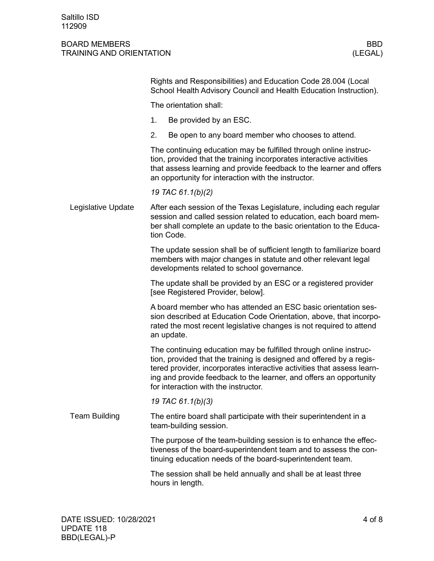|                      | Rights and Responsibilities) and Education Code 28.004 (Local<br>School Health Advisory Council and Health Education Instruction).                                                                                                                                                                                                |  |  |  |  |
|----------------------|-----------------------------------------------------------------------------------------------------------------------------------------------------------------------------------------------------------------------------------------------------------------------------------------------------------------------------------|--|--|--|--|
|                      | The orientation shall:                                                                                                                                                                                                                                                                                                            |  |  |  |  |
|                      | 1.<br>Be provided by an ESC.                                                                                                                                                                                                                                                                                                      |  |  |  |  |
|                      | 2.<br>Be open to any board member who chooses to attend.                                                                                                                                                                                                                                                                          |  |  |  |  |
|                      | The continuing education may be fulfilled through online instruc-<br>tion, provided that the training incorporates interactive activities<br>that assess learning and provide feedback to the learner and offers<br>an opportunity for interaction with the instructor.                                                           |  |  |  |  |
|                      | 19 TAC 61.1(b)(2)                                                                                                                                                                                                                                                                                                                 |  |  |  |  |
| Legislative Update   | After each session of the Texas Legislature, including each regular<br>session and called session related to education, each board mem-<br>ber shall complete an update to the basic orientation to the Educa-<br>tion Code.                                                                                                      |  |  |  |  |
|                      | The update session shall be of sufficient length to familiarize board<br>members with major changes in statute and other relevant legal<br>developments related to school governance.                                                                                                                                             |  |  |  |  |
|                      | The update shall be provided by an ESC or a registered provider<br>[see Registered Provider, below].                                                                                                                                                                                                                              |  |  |  |  |
|                      | A board member who has attended an ESC basic orientation ses-<br>sion described at Education Code Orientation, above, that incorpo-<br>rated the most recent legislative changes is not required to attend<br>an update.                                                                                                          |  |  |  |  |
|                      | The continuing education may be fulfilled through online instruc-<br>tion, provided that the training is designed and offered by a regis-<br>tered provider, incorporates interactive activities that assess learn-<br>ing and provide feedback to the learner, and offers an opportunity<br>for interaction with the instructor. |  |  |  |  |
|                      | 19 TAC 61.1(b)(3)                                                                                                                                                                                                                                                                                                                 |  |  |  |  |
| <b>Team Building</b> | The entire board shall participate with their superintendent in a<br>team-building session.                                                                                                                                                                                                                                       |  |  |  |  |
|                      | The purpose of the team-building session is to enhance the effec-<br>tiveness of the board-superintendent team and to assess the con-<br>tinuing education needs of the board-superintendent team.                                                                                                                                |  |  |  |  |
|                      | The session shall be held annually and shall be at least three<br>hours in length.                                                                                                                                                                                                                                                |  |  |  |  |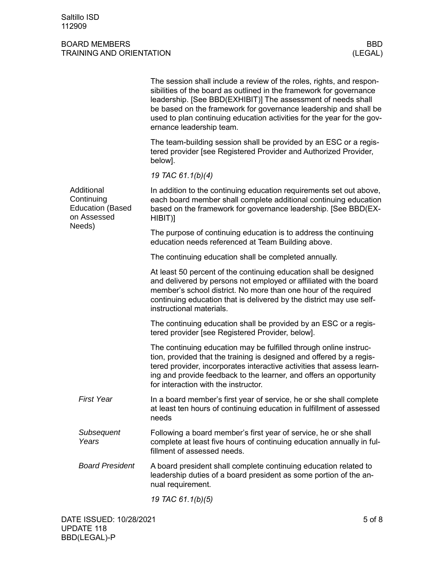|                                                                              | The session shall include a review of the roles, rights, and respon-<br>sibilities of the board as outlined in the framework for governance<br>leadership. [See BBD(EXHIBIT)] The assessment of needs shall<br>be based on the framework for governance leadership and shall be<br>used to plan continuing education activities for the year for the gov-<br>ernance leadership team. |
|------------------------------------------------------------------------------|---------------------------------------------------------------------------------------------------------------------------------------------------------------------------------------------------------------------------------------------------------------------------------------------------------------------------------------------------------------------------------------|
|                                                                              | The team-building session shall be provided by an ESC or a regis-<br>tered provider [see Registered Provider and Authorized Provider,<br>below].                                                                                                                                                                                                                                      |
|                                                                              | 19 TAC 61.1(b)(4)                                                                                                                                                                                                                                                                                                                                                                     |
| Additional<br>Continuing<br><b>Education (Based</b><br>on Assessed<br>Needs) | In addition to the continuing education requirements set out above,<br>each board member shall complete additional continuing education<br>based on the framework for governance leadership. [See BBD(EX-<br>HIBIT)]                                                                                                                                                                  |
|                                                                              | The purpose of continuing education is to address the continuing<br>education needs referenced at Team Building above.                                                                                                                                                                                                                                                                |
|                                                                              | The continuing education shall be completed annually.                                                                                                                                                                                                                                                                                                                                 |
|                                                                              | At least 50 percent of the continuing education shall be designed<br>and delivered by persons not employed or affiliated with the board<br>member's school district. No more than one hour of the required<br>continuing education that is delivered by the district may use self-<br>instructional materials.                                                                        |
|                                                                              | The continuing education shall be provided by an ESC or a regis-<br>tered provider [see Registered Provider, below].                                                                                                                                                                                                                                                                  |
|                                                                              | The continuing education may be fulfilled through online instruc-<br>tion, provided that the training is designed and offered by a regis-<br>tered provider, incorporates interactive activities that assess learn-<br>ing and provide feedback to the learner, and offers an opportunity<br>for interaction with the instructor.                                                     |
| <b>First Year</b>                                                            | In a board member's first year of service, he or she shall complete<br>at least ten hours of continuing education in fulfillment of assessed<br>needs                                                                                                                                                                                                                                 |
| Subsequent<br>Years                                                          | Following a board member's first year of service, he or she shall<br>complete at least five hours of continuing education annually in ful-<br>fillment of assessed needs.                                                                                                                                                                                                             |
| <b>Board President</b>                                                       | A board president shall complete continuing education related to<br>leadership duties of a board president as some portion of the an-<br>nual requirement.                                                                                                                                                                                                                            |
|                                                                              | 19 TAC 61.1(b)(5)                                                                                                                                                                                                                                                                                                                                                                     |
|                                                                              |                                                                                                                                                                                                                                                                                                                                                                                       |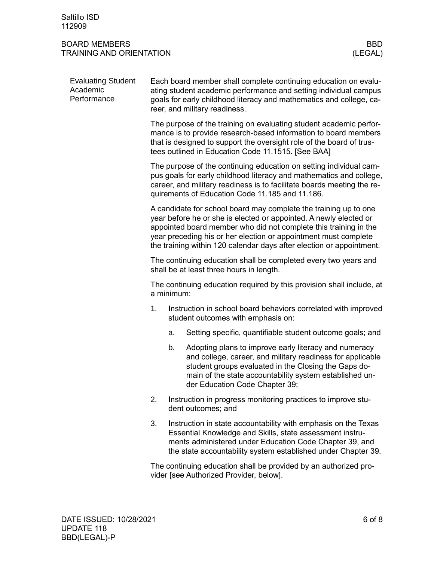| <b>Evaluating Student</b><br>Academic<br>Performance | Each board member shall complete continuing education on evalu-<br>ating student academic performance and setting individual campus<br>goals for early childhood literacy and mathematics and college, ca-<br>reer, and military readiness.                                                                                                          |                                                                                                      |                                                                                                                                                                                                                                                                          |  |  |
|------------------------------------------------------|------------------------------------------------------------------------------------------------------------------------------------------------------------------------------------------------------------------------------------------------------------------------------------------------------------------------------------------------------|------------------------------------------------------------------------------------------------------|--------------------------------------------------------------------------------------------------------------------------------------------------------------------------------------------------------------------------------------------------------------------------|--|--|
|                                                      | The purpose of the training on evaluating student academic perfor-<br>mance is to provide research-based information to board members<br>that is designed to support the oversight role of the board of trus-<br>tees outlined in Education Code 11.1515. [See BAA]                                                                                  |                                                                                                      |                                                                                                                                                                                                                                                                          |  |  |
|                                                      | The purpose of the continuing education on setting individual cam-<br>pus goals for early childhood literacy and mathematics and college,<br>career, and military readiness is to facilitate boards meeting the re-<br>quirements of Education Code 11.185 and 11.186.                                                                               |                                                                                                      |                                                                                                                                                                                                                                                                          |  |  |
|                                                      | A candidate for school board may complete the training up to one<br>year before he or she is elected or appointed. A newly elected or<br>appointed board member who did not complete this training in the<br>year preceding his or her election or appointment must complete<br>the training within 120 calendar days after election or appointment. |                                                                                                      |                                                                                                                                                                                                                                                                          |  |  |
|                                                      | The continuing education shall be completed every two years and<br>shall be at least three hours in length.                                                                                                                                                                                                                                          |                                                                                                      |                                                                                                                                                                                                                                                                          |  |  |
|                                                      | The continuing education required by this provision shall include, at<br>a minimum:                                                                                                                                                                                                                                                                  |                                                                                                      |                                                                                                                                                                                                                                                                          |  |  |
|                                                      | 1.                                                                                                                                                                                                                                                                                                                                                   | Instruction in school board behaviors correlated with improved<br>student outcomes with emphasis on: |                                                                                                                                                                                                                                                                          |  |  |
|                                                      |                                                                                                                                                                                                                                                                                                                                                      | a.                                                                                                   | Setting specific, quantifiable student outcome goals; and                                                                                                                                                                                                                |  |  |
|                                                      |                                                                                                                                                                                                                                                                                                                                                      | b.                                                                                                   | Adopting plans to improve early literacy and numeracy<br>and college, career, and military readiness for applicable<br>student groups evaluated in the Closing the Gaps do-<br>main of the state accountability system established un-<br>der Education Code Chapter 39; |  |  |
|                                                      | 2.                                                                                                                                                                                                                                                                                                                                                   |                                                                                                      | Instruction in progress monitoring practices to improve stu-<br>dent outcomes; and                                                                                                                                                                                       |  |  |
|                                                      | 3.                                                                                                                                                                                                                                                                                                                                                   |                                                                                                      | Instruction in state accountability with emphasis on the Texas<br>Essential Knowledge and Skills, state assessment instru-<br>ments administered under Education Code Chapter 39, and<br>the state accountability system established under Chapter 39.                   |  |  |
|                                                      | The continuing education shall be provided by an authorized pro-<br>vider [see Authorized Provider, below].                                                                                                                                                                                                                                          |                                                                                                      |                                                                                                                                                                                                                                                                          |  |  |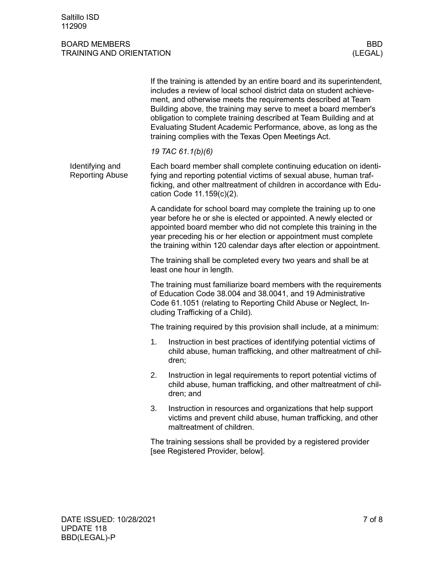|                                                                                                                                                                                                                                                                                                                                                      | If the training is attended by an entire board and its superintendent,<br>includes a review of local school district data on student achieve-<br>ment, and otherwise meets the requirements described at Team<br>Building above, the training may serve to meet a board member's<br>obligation to complete training described at Team Building and at<br>Evaluating Student Academic Performance, above, as long as the<br>training complies with the Texas Open Meetings Act. |  |  |  |
|------------------------------------------------------------------------------------------------------------------------------------------------------------------------------------------------------------------------------------------------------------------------------------------------------------------------------------------------------|--------------------------------------------------------------------------------------------------------------------------------------------------------------------------------------------------------------------------------------------------------------------------------------------------------------------------------------------------------------------------------------------------------------------------------------------------------------------------------|--|--|--|
|                                                                                                                                                                                                                                                                                                                                                      | 19 TAC 61.1(b)(6)                                                                                                                                                                                                                                                                                                                                                                                                                                                              |  |  |  |
| Each board member shall complete continuing education on identi-<br>fying and reporting potential victims of sexual abuse, human traf-<br>ficking, and other maltreatment of children in accordance with Edu-<br>cation Code 11.159(c)(2).                                                                                                           |                                                                                                                                                                                                                                                                                                                                                                                                                                                                                |  |  |  |
| A candidate for school board may complete the training up to one<br>year before he or she is elected or appointed. A newly elected or<br>appointed board member who did not complete this training in the<br>year preceding his or her election or appointment must complete<br>the training within 120 calendar days after election or appointment. |                                                                                                                                                                                                                                                                                                                                                                                                                                                                                |  |  |  |
| The training shall be completed every two years and shall be at<br>least one hour in length.                                                                                                                                                                                                                                                         |                                                                                                                                                                                                                                                                                                                                                                                                                                                                                |  |  |  |
| The training must familiarize board members with the requirements<br>of Education Code 38.004 and 38.0041, and 19 Administrative<br>Code 61.1051 (relating to Reporting Child Abuse or Neglect, In-<br>cluding Trafficking of a Child).                                                                                                              |                                                                                                                                                                                                                                                                                                                                                                                                                                                                                |  |  |  |
| The training required by this provision shall include, at a minimum:                                                                                                                                                                                                                                                                                 |                                                                                                                                                                                                                                                                                                                                                                                                                                                                                |  |  |  |
| 1.                                                                                                                                                                                                                                                                                                                                                   | Instruction in best practices of identifying potential victims of<br>child abuse, human trafficking, and other maltreatment of chil-<br>dren;                                                                                                                                                                                                                                                                                                                                  |  |  |  |
| 2.                                                                                                                                                                                                                                                                                                                                                   | Instruction in legal requirements to report potential victims of<br>child abuse, human trafficking, and other maltreatment of chil-<br>dren; and                                                                                                                                                                                                                                                                                                                               |  |  |  |
| 3.                                                                                                                                                                                                                                                                                                                                                   | Instruction in resources and organizations that help support<br>victims and prevent child abuse, human trafficking, and other<br>maltreatment of children.                                                                                                                                                                                                                                                                                                                     |  |  |  |
|                                                                                                                                                                                                                                                                                                                                                      | The training sessions shall be provided by a registered provider<br>[see Registered Provider, below].                                                                                                                                                                                                                                                                                                                                                                          |  |  |  |
|                                                                                                                                                                                                                                                                                                                                                      |                                                                                                                                                                                                                                                                                                                                                                                                                                                                                |  |  |  |